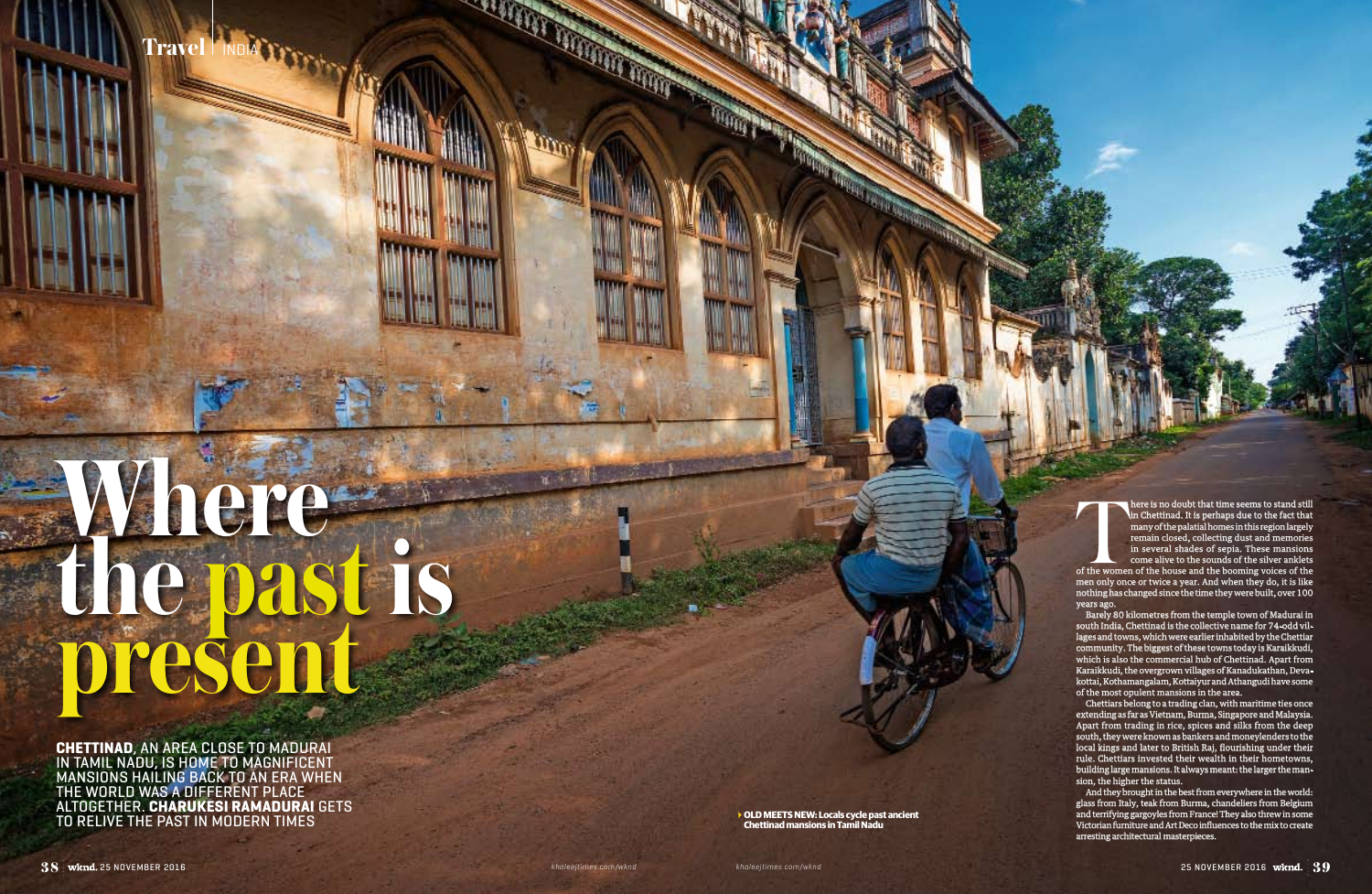**Travel** INDIA

**OLD MEETS NEW: Locals cycle past ancient Chettinad mansions in Tamil Nadu**

**CONTRACTOR** 

**Chettinad**, an area close to Madurai in Tamil Nadu, is home to magnificent mansions hailing back to an era when the world was a different place altogether. **Charukesi Ramadurai** gets to relive the past in modern times

## **Where the past is present**

of the women of the women of the house and the booming voices of the men only once or twice a year. And when they do, it is like nothing has changed since the time they were built, over 100 years ago.

here is no doubt that time seems to stand still in Chettinad. It is perhaps due to the fact that many of the palatial homes in this region largely remain closed, collecting dust and memories in several shades of sepia. These mansions come alive to the sounds of the silver anklets

Barely 80 kilometres from the temple town of Madurai in south India, Chettinad is the collective name for 74-odd villages and towns, which were earlier inhabited by the Chettiar community. The biggest of these towns today is Karaikkudi, which is also the commercial hub of Chettinad. Apart from Karaikkudi, the overgrown villages of Kanadukathan, Devakottai, Kothamangalam, Kottaiyur and Athangudi have some of the most opulent mansions in the area.

Chettiars belong to a trading clan, with maritime ties once extending as far as Vietnam, Burma, Singapore and Malaysia. Apart from trading in rice, spices and silks from the deep south, they were known as bankers and moneylenders to the local kings and later to British Raj, flourishing under their rule. Chettiars invested their wealth in their hometowns, building large mansions. It always meant: the larger the mansion, the higher the status.

And they brought in the best from everywhere in the world: glass from Italy, teak from Burma, chandeliers from Belgium and terrifying gargoyles from France! They also threw in some Victorian furniture and Art Deco influences to the mix to create arresting architectural masterpieces.